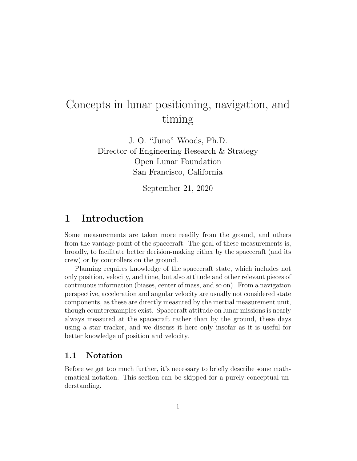# Concepts in lunar positioning, navigation, and timing

J. O. "Juno" Woods, Ph.D. Director of Engineering Research & Strategy Open Lunar Foundation San Francisco, California

September 21, 2020

# 1 Introduction

Some measurements are taken more readily from the ground, and others from the vantage point of the spacecraft. The goal of these measurements is, broadly, to facilitate better decision-making either by the spacecraft (and its crew) or by controllers on the ground.

Planning requires knowledge of the spacecraft state, which includes not only position, velocity, and time, but also attitude and other relevant pieces of continuous information (biases, center of mass, and so on). From a navigation perspective, acceleration and angular velocity are usually not considered state components, as these are directly measured by the inertial measurement unit, though counterexamples exist. Spacecraft attitude on lunar missions is nearly always measured at the spacecraft rather than by the ground, these days using a star tracker, and we discuss it here only insofar as it is useful for better knowledge of position and velocity.

# 1.1 Notation

Before we get too much further, it's necessary to briefly describe some mathematical notation. This section can be skipped for a purely conceptual understanding.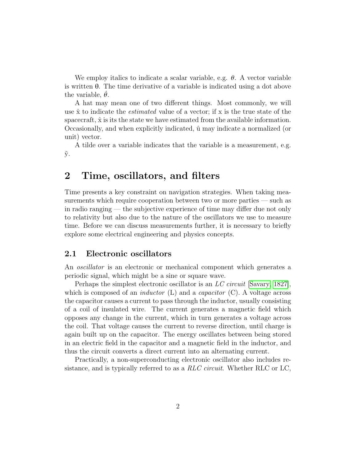We employ italics to indicate a scalar variable, e.g.  $\theta$ . A vector variable is written θ. The time derivative of a variable is indicated using a dot above the variable,  $\theta$ .

A hat may mean one of two different things. Most commonly, we will use  $\hat{x}$  to indicate the *estimated* value of a vector; if x is the true state of the spacecraft,  $\hat{x}$  is its the state we have estimated from the available information. Occasionally, and when explicitly indicated,  $\hat{u}$  may indicate a normalized (or unit) vector.

A tilde over a variable indicates that the variable is a measurement, e.g.  $\tilde{y}$ .

# 2 Time, oscillators, and filters

Time presents a key constraint on navigation strategies. When taking measurements which require cooperation between two or more parties — such as in radio ranging — the subjective experience of time may differ due not only to relativity but also due to the nature of the oscillators we use to measure time. Before we can discuss measurements further, it is necessary to briefly explore some electrical engineering and physics concepts.

# 2.1 Electronic oscillators

An oscillator is an electronic or mechanical component which generates a periodic signal, which might be a sine or square wave.

Perhaps the simplest electronic oscillator is an LC circuit [\[Savary, 1827\]](#page-15-0), which is composed of an *inductor* (L) and a *capacitor* (C). A voltage across the capacitor causes a current to pass through the inductor, usually consisting of a coil of insulated wire. The current generates a magnetic field which opposes any change in the current, which in turn generates a voltage across the coil. That voltage causes the current to reverse direction, until charge is again built up on the capacitor. The energy oscillates between being stored in an electric field in the capacitor and a magnetic field in the inductor, and thus the circuit converts a direct current into an alternating current.

Practically, a non-superconducting electronic oscillator also includes resistance, and is typically referred to as a  $RLC$  circuit. Whether RLC or LC,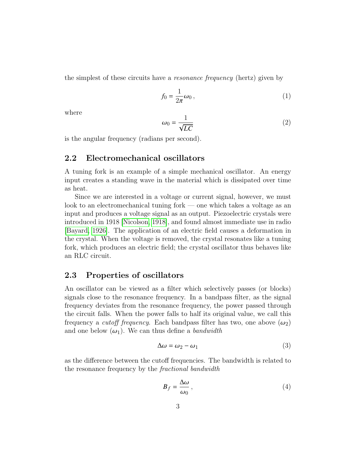the simplest of these circuits have a resonance frequency (hertz) given by

$$
f_0 = \frac{1}{2\pi}\omega_0\,,\tag{1}
$$

where

$$
\omega_0 = \frac{1}{\sqrt{LC}}\tag{2}
$$

is the angular frequency (radians per second).

# 2.2 Electromechanical oscillators

A tuning fork is an example of a simple mechanical oscillator. An energy input creates a standing wave in the material which is dissipated over time as heat.

Since we are interested in a voltage or current signal, however, we must look to an electromechanical tuning fork — one which takes a voltage as an input and produces a voltage signal as an output. Piezoelectric crystals were introduced in 1918 [\[Nicolson, 1918\]](#page-15-1), and found almost immediate use in radio [\[Bayard, 1926\]](#page-15-2). The application of an electric field causes a deformation in the crystal. When the voltage is removed, the crystal resonates like a tuning fork, which produces an electric field; the crystal oscillator thus behaves like an RLC circuit.

# 2.3 Properties of oscillators

An oscillator can be viewed as a filter which selectively passes (or blocks) signals close to the resonance frequency. In a bandpass filter, as the signal frequency deviates from the resonance frequency, the power passed through the circuit falls. When the power falls to half its original value, we call this frequency a *cutoff frequency*. Each bandpass filter has two, one above  $(\omega_2)$ and one below  $(\omega_1)$ . We can thus define a bandwidth

$$
\Delta \omega = \omega_2 - \omega_1 \tag{3}
$$

as the difference between the cutoff frequencies. The bandwidth is related to the resonance frequency by the fractional bandwidth

$$
B_f = \frac{\Delta \omega}{\omega_0},\tag{4}
$$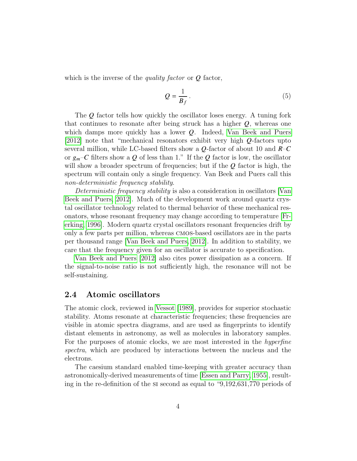which is the inverse of the *quality factor* or  $Q$  factor,

$$
Q = \frac{1}{B_f} \,. \tag{5}
$$

The  $Q$  factor tells how quickly the oscillator loses energy. A tuning fork that continues to resonate after being struck has a higher  $Q$ , whereas one which damps more quickly has a lower  $Q$ . Indeed, [Van Beek and Puers](#page-15-3) [\[2012\]](#page-15-3) note that "mechanical resonators exhibit very high  $Q$ -factors upto several million, while LC-based filters show a  $Q$ -factor of about 10 and  $R-C$ or  $g_m$ –C filters show a Q of less than 1." If the Q factor is low, the oscillator will show a broader spectrum of frequencies; but if the  $Q$  factor is high, the spectrum will contain only a single frequency. Van Beek and Puers call this non-deterministic frequency stability.

Deterministic frequency stability is also a consideration in oscillators [\[Van](#page-15-3) [Beek and Puers, 2012\]](#page-15-3). Much of the development work around quartz crystal oscillator technology related to thermal behavior of these mechanical resonators, whose resonant frequency may change according to temperature [\[Fr](#page-15-4)[erking, 1996\]](#page-15-4). Modern quartz crystal oscillators resonant frequencies drift by only a few parts per million, whereas cmos-based oscillators are in the parts per thousand range [\[Van Beek and Puers, 2012\]](#page-15-3). In addition to stability, we care that the frequency given for an oscillator is accurate to specification.

[Van Beek and Puers](#page-15-3) [\[2012\]](#page-15-3) also cites power dissipation as a concern. If the signal-to-noise ratio is not sufficiently high, the resonance will not be self-sustaining.

# 2.4 Atomic oscillators

The atomic clock, reviewed in [Vessot](#page-16-0) [\[1989\]](#page-16-0), provides for superior stochastic stability. Atoms resonate at characteristic frequencies; these frequencies are visible in atomic spectra diagrams, and are used as fingerprints to identify distant elements in astronomy, as well as molecules in laboratory samples. For the purposes of atomic clocks, we are most interested in the hyperfine spectra, which are produced by interactions between the nucleus and the electrons.

The caesium standard enabled time-keeping with greater accuracy than astronomically-derived measurements of time [\[Essen and Parry, 1955\]](#page-16-1), resulting in the re-definition of the si second as equal to "9,192,631,770 periods of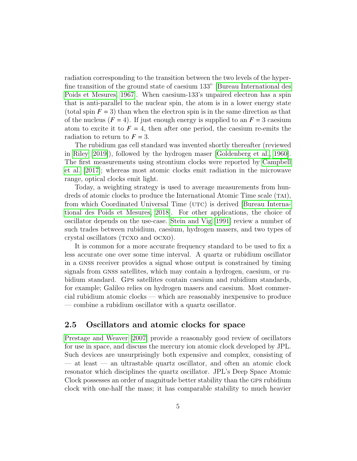radiation corresponding to the transition between the two levels of the hyperfine transition of the ground state of caesium 133" [\[Bureau International des](#page-16-2) [Poids et Mesures, 1967\]](#page-16-2). When caesium-133's unpaired electron has a spin that is anti-parallel to the nuclear spin, the atom is in a lower energy state (total spin  $F = 3$ ) than when the electron spin is in the same direction as that of the nucleus  $(F = 4)$ . If just enough energy is supplied to an  $F = 3$  caesium atom to excite it to  $F = 4$ , then after one period, the caesium re-emits the radiation to return to  $F = 3$ .

The rubidium gas cell standard was invented shortly thereafter (reviewed in [Riley](#page-16-3) [\[2019\]](#page-16-3)), followed by the hydrogen maser [\[Goldenberg et al., 1960\]](#page-16-4). The first measurements using strontium clocks were reported by [Campbell](#page-16-5) [et al.](#page-16-5) [\[2017\]](#page-16-5); whereas most atomic clocks emit radiation in the microwave range, optical clocks emit light.

Today, a weighting strategy is used to average measurements from hundreds of atomic clocks to produce the International Atomic Time scale  $(TAI)$ , from which Coordinated Universal Time (UTC) is derived [\[Bureau Interna](#page-16-6)[tional des Poids et Mesures, 2018\]](#page-16-6). For other applications, the choice of oscillator depends on the use-case. [Stein and Vig](#page-16-7) [\[1991\]](#page-16-7) review a number of such trades between rubidium, caesium, hydrogen masers, and two types of crystal oscillators (TCXO and OCXO).

It is common for a more accurate frequency standard to be used to fix a less accurate one over some time interval. A quartz or rubidium oscillator in a gnss receiver provides a signal whose output is constrained by timing signals from gnss satellites, which may contain a hydrogen, caesium, or rubidium standard. Gps satellites contain caesium and rubidium standards, for example; Galileo relies on hydrogen masers and caesium. Most commercial rubidium atomic clocks — which are reasonably inexpensive to produce — combine a rubidium oscillator with a quartz oscillator.

# 2.5 Oscillators and atomic clocks for space

[Prestage and Weaver](#page-16-8) [\[2007\]](#page-16-8) provide a reasonably good review of oscillators for use in space, and discuss the mercury ion atomic clock developed by JPL. Such devices are unsurprisingly both expensive and complex, consisting of — at least — an ultrastable quartz oscillator, and often an atomic clock resonator which disciplines the quartz oscillator. JPL's Deep Space Atomic Clock possesses an order of magnitude better stability than the GPS rubidium clock with one-half the mass; it has comparable stability to much heavier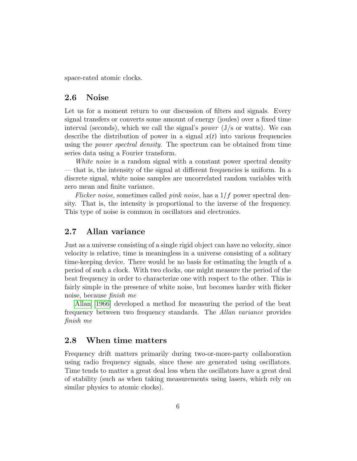space-rated atomic clocks.

### 2.6 Noise

Let us for a moment return to our discussion of filters and signals. Every signal transfers or converts some amount of energy (joules) over a fixed time interval (seconds), which we call the signal's *power* ( $J/s$  or watts). We can describe the distribution of power in a signal  $x(t)$  into various frequencies using the power spectral density. The spectrum can be obtained from time series data using a Fourier transform.

White noise is a random signal with a constant power spectral density — that is, the intensity of the signal at different frequencies is uniform. In a discrete signal, white noise samples are uncorrelated random variables with zero mean and finite variance.

Flicker noise, sometimes called *pink noise*, has a  $1/f$  power spectral density. That is, the intensity is proportional to the inverse of the frequency. This type of noise is common in oscillators and electronics.

# 2.7 Allan variance

Just as a universe consisting of a single rigid object can have no velocity, since velocity is relative, time is meaningless in a universe consisting of a solitary time-keeping device. There would be no basis for estimating the length of a period of such a clock. With two clocks, one might measure the period of the beat frequency in order to characterize one with respect to the other. This is fairly simple in the presence of white noise, but becomes harder with flicker noise, because finish me

[Allan](#page-17-0) [\[1966\]](#page-17-0) developed a method for measuring the period of the beat frequency between two frequency standards. The Allan variance provides finish me

# 2.8 When time matters

Frequency drift matters primarily during two-or-more-party collaboration using radio frequency signals, since these are generated using oscillators. Time tends to matter a great deal less when the oscillators have a great deal of stability (such as when taking measurements using lasers, which rely on similar physics to atomic clocks).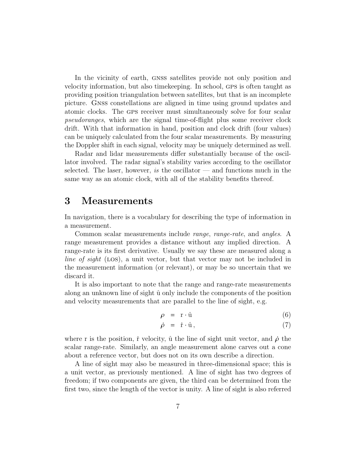In the vicinity of earth, gnss satellites provide not only position and velocity information, but also timekeeping. In school, gps is often taught as providing position triangulation between satellites, but that is an incomplete picture. Gnss constellations are aligned in time using ground updates and atomic clocks. The gps receiver must simultaneously solve for four scalar pseudoranges, which are the signal time-of-flight plus some receiver clock drift. With that information in hand, position and clock drift (four values) can be uniquely calculated from the four scalar measurements. By measuring the Doppler shift in each signal, velocity may be uniquely determined as well.

Radar and lidar measurements differ substantially because of the oscillator involved. The radar signal's stability varies according to the oscillator selected. The laser, however, is the oscillator  $-$  and functions much in the same way as an atomic clock, with all of the stability benefits thereof.

# 3 Measurements

In navigation, there is a vocabulary for describing the type of information in a measurement.

Common scalar measurements include range, range-rate, and angles. A range measurement provides a distance without any implied direction. A range-rate is its first derivative. Usually we say these are measured along a line of sight (LOS), a unit vector, but that vector may not be included in the measurement information (or relevant), or may be so uncertain that we discard it.

It is also important to note that the range and range-rate measurements along an unknown line of sight  $\hat{u}$  only include the components of the position and velocity measurements that are parallel to the line of sight, e.g.

$$
\rho = \mathbf{r} \cdot \hat{\mathbf{u}} \tag{6}
$$

$$
\dot{\rho} = \dot{\mathbf{r}} \cdot \hat{\mathbf{u}},\tag{7}
$$

where r is the position, i velocity,  $\hat{u}$  the line of sight unit vector, and  $\hat{\rho}$  the scalar range-rate. Similarly, an angle measurement alone carves out a cone about a reference vector, but does not on its own describe a direction.

A line of sight may also be measured in three-dimensional space; this is a unit vector, as previously mentioned. A line of sight has two degrees of freedom; if two components are given, the third can be determined from the first two, since the length of the vector is unity. A line of sight is also referred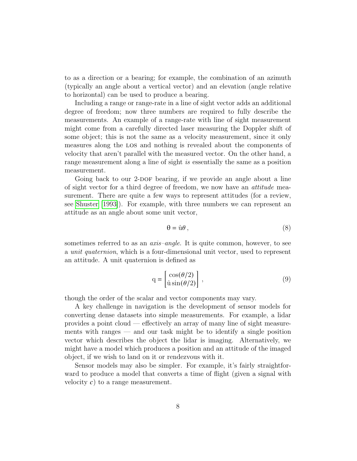to as a direction or a bearing; for example, the combination of an azimuth (typically an angle about a vertical vector) and an elevation (angle relative to horizontal) can be used to produce a bearing.

Including a range or range-rate in a line of sight vector adds an additional degree of freedom; now three numbers are required to fully describe the measurements. An example of a range-rate with line of sight measurement might come from a carefully directed laser measuring the Doppler shift of some object; this is not the same as a velocity measurement, since it only measures along the los and nothing is revealed about the components of velocity that aren't parallel with the measured vector. On the other hand, a range measurement along a line of sight is essentially the same as a position measurement.

Going back to our 2-DOF bearing, if we provide an angle about a line of sight vector for a third degree of freedom, we now have an *attitude* measurement. There are quite a few ways to represent attitudes (for a review, see [Shuster](#page-17-1) [\[1993\]](#page-17-1)). For example, with three numbers we can represent an attitude as an angle about some unit vector,

$$
\theta = \hat{u}\theta \,,\tag{8}
$$

sometimes referred to as an *axis–angle*. It is quite common, however, to see a *unit quaternion*, which is a four-dimensional unit vector, used to represent an attitude. A unit quaternion is defined as

$$
q = \begin{bmatrix} \cos(\theta/2) \\ \hat{u}\sin(\theta/2) \end{bmatrix},
$$
\n(9)

though the order of the scalar and vector components may vary.

A key challenge in navigation is the development of sensor models for converting dense datasets into simple measurements. For example, a lidar provides a point cloud — effectively an array of many line of sight measurements with ranges — and our task might be to identify a single position vector which describes the object the lidar is imaging. Alternatively, we might have a model which produces a position and an attitude of the imaged object, if we wish to land on it or rendezvous with it.

Sensor models may also be simpler. For example, it's fairly straightforward to produce a model that converts a time of flight (given a signal with velocity  $c$ ) to a range measurement.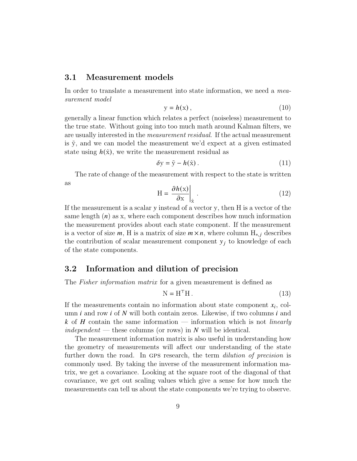#### 3.1 Measurement models

In order to translate a measurement into state information, we need a measurement model

$$
y = h(x), \tag{10}
$$

generally a linear function which relates a perfect (noiseless) measurement to the true state. Without going into too much math around Kalman filters, we are usually interested in the measurement residual. If the actual measurement is  $\tilde{y}$ , and we can model the measurement we'd expect at a given estimated state using  $h(\hat{x})$ , we write the measurement residual as

$$
\delta y = \tilde{y} - h(\hat{x}) \,. \tag{11}
$$

The rate of change of the measurement with respect to the state is written as

$$
H = \frac{\partial h(x)}{\partial x}\bigg|_{\hat{x}}.
$$
 (12)

If the measurement is a scalar  $y$  instead of a vector  $y$ , then  $H$  is a vector of the same length  $(n)$  as x, where each component describes how much information the measurement provides about each state component. If the measurement is a vector of size  $m$ , H is a matrix of size  $m \times n$ , where column  $H_{*,i}$  describes the contribution of scalar measurement component  $y_j$  to knowledge of each of the state components.

# 3.2 Information and dilution of precision

The *Fisher information matrix* for a given measurement is defined as

$$
N = HTH.
$$
 (13)

If the measurements contain no information about state component  $x_i$ , column  $i$  and row  $i$  of  $N$  will both contain zeros. Likewise, if two columns  $i$  and  $k$  of  $H$  contain the same information — information which is not *linearly* independent — these columns (or rows) in  $N$  will be identical.

The measurement information matrix is also useful in understanding how the geometry of measurements will affect our understanding of the state further down the road. In GPS research, the term *dilution of precision* is commonly used. By taking the inverse of the measurement information matrix, we get a covariance. Looking at the square root of the diagonal of that covariance, we get out scaling values which give a sense for how much the measurements can tell us about the state components we're trying to observe.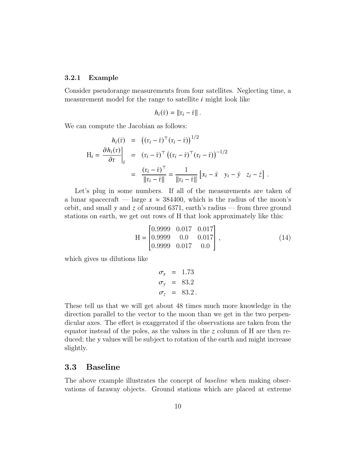#### 3.2.1 Example

Consider pseudorange measurements from four satellites. Neglecting time, a measurement model for the range to satellite  $i$  might look like

$$
h_i(\hat{\mathbf{r}}) = \|\mathbf{r}_i - \hat{\mathbf{r}}\|.
$$

We can compute the Jacobian as follows:

$$
h_i(\hat{\mathbf{r}}) = ((\mathbf{r}_i - \hat{\mathbf{r}})^{\top} (\mathbf{r}_i - \hat{\mathbf{r}}))^{1/2}
$$
  
\n
$$
H_i = \frac{\partial h_i(\mathbf{r})}{\partial \mathbf{r}}\Big|_{\hat{\mathbf{r}}} = (\mathbf{r}_i - \hat{\mathbf{r}})^{\top} ((\mathbf{r}_i - \hat{\mathbf{r}})^{\top} (\mathbf{r}_i - \hat{\mathbf{r}}))^{-1/2}
$$
  
\n
$$
= \frac{(\mathbf{r}_i - \hat{\mathbf{r}})^{\top}}{\|\mathbf{r}_i - \hat{\mathbf{r}}\|} = \frac{1}{\|\mathbf{r}_i - \hat{\mathbf{r}}\|} [x_i - \hat{x} \quad y_i - \hat{y} \quad z_i - \hat{z}].
$$

Let's plug in some numbers. If all of the measurements are taken of a lunar spacecraft — large  $x \approx 384400$ , which is the radius of the moon's orbit, and small  $y$  and  $z$  of around 6371, earth's radius — from three ground stations on earth, we get out rows of H that look approximately like this:

$$
H = \begin{bmatrix} 0.9999 & 0.017 & 0.017 \\ 0.9999 & 0.0 & 0.017 \\ 0.9999 & 0.017 & 0.0 \end{bmatrix},
$$
(14)

which gives us dilutions like

$$
\sigma_x = 1.73
$$
  
\n
$$
\sigma_y = 83.2
$$
  
\n
$$
\sigma_z = 83.2
$$

These tell us that we will get about 48 times much more knowledge in the direction parallel to the vector to the moon than we get in the two perpendicular axes. The effect is exaggerated if the observations are taken from the equator instead of the poles, as the values in the  $\zeta$  column of H are then reduced; the y values will be subject to rotation of the earth and might increase slightly.

# 3.3 Baseline

The above example illustrates the concept of *baseline* when making observations of faraway objects. Ground stations which are placed at extreme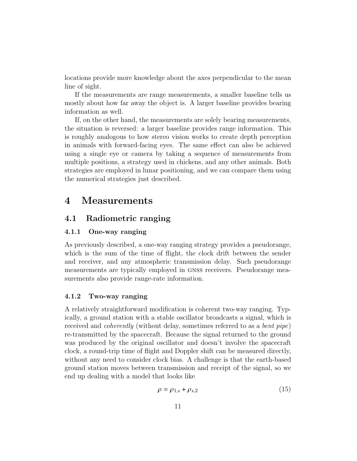locations provide more knowledge about the axes perpendicular to the mean line of sight.

If the measurements are range measurements, a smaller baseline tells us mostly about how far away the object is. A larger baseline provides bearing information as well.

If, on the other hand, the measurements are solely bearing measurements, the situation is reversed: a larger baseline provides range information. This is roughly analogous to how stereo vision works to create depth perception in animals with forward-facing eyes. The same effect can also be achieved using a single eye or camera by taking a sequence of measurements from multiple positions, a strategy used in chickens, and any other animals. Both strategies are employed in lunar positioning, and we can compare them using the numerical strategies just described.

# 4 Measurements

# 4.1 Radiometric ranging

#### 4.1.1 One-way ranging

As previously described, a one-way ranging strategy provides a pseudorange, which is the sum of the time of flight, the clock drift between the sender and receiver, and any atmospheric transmission delay. Such pseudorange measurements are typically employed in gnss receivers. Pseudorange measurements also provide range-rate information.

#### 4.1.2 Two-way ranging

A relatively straightforward modification is coherent two-way ranging. Typically, a ground station with a stable oscillator broadcasts a signal, which is received and coherently (without delay, sometimes referred to as a bent pipe) re-transmitted by the spacecraft. Because the signal returned to the ground was produced by the original oscillator and doesn't involve the spacecraft clock, a round-trip time of flight and Doppler shift can be measured directly, without any need to consider clock bias. A challenge is that the earth-based ground station moves between transmission and receipt of the signal, so we end up dealing with a model that looks like

$$
\rho = \rho_{1,s} + \rho_{s,2} \tag{15}
$$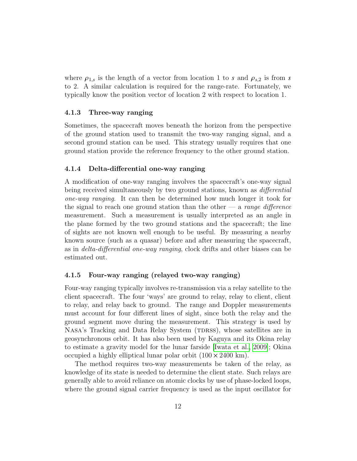where  $\rho_{1,s}$  is the length of a vector from location 1 to s and  $\rho_{s,2}$  is from s to 2. A similar calculation is required for the range-rate. Fortunately, we typically know the position vector of location 2 with respect to location 1.

#### 4.1.3 Three-way ranging

Sometimes, the spacecraft moves beneath the horizon from the perspective of the ground station used to transmit the two-way ranging signal, and a second ground station can be used. This strategy usually requires that one ground station provide the reference frequency to the other ground station.

#### 4.1.4 Delta-differential one-way ranging

A modification of one-way ranging involves the spacecraft's one-way signal being received simultaneously by two ground stations, known as differential one-way ranging. It can then be determined how much longer it took for the signal to reach one ground station than the other  $-$  a range difference measurement. Such a measurement is usually interpreted as an angle in the plane formed by the two ground stations and the spacecraft; the line of sights are not known well enough to be useful. By measuring a nearby known source (such as a quasar) before and after measuring the spacecraft, as in delta-differential one-way ranging, clock drifts and other biases can be estimated out.

#### 4.1.5 Four-way ranging (relayed two-way ranging)

Four-way ranging typically involves re-transmission via a relay satellite to the client spacecraft. The four 'ways' are ground to relay, relay to client, client to relay, and relay back to ground. The range and Doppler measurements must account for four different lines of sight, since both the relay and the ground segment move during the measurement. This strategy is used by NASA's Tracking and Data Relay System (TDRSS), whose satellites are in geosynchronous orbit. It has also been used by Kaguya and its Okina relay to estimate a gravity model for the lunar farside [\[Iwata et al., 2009\]](#page-17-2); Okina occupied a highly elliptical lunar polar orbit  $(100 \times 2400 \text{ km})$ .

The method requires two-way measurements be taken of the relay, as knowledge of its state is needed to determine the client state. Such relays are generally able to avoid reliance on atomic clocks by use of phase-locked loops, where the ground signal carrier frequency is used as the input oscillator for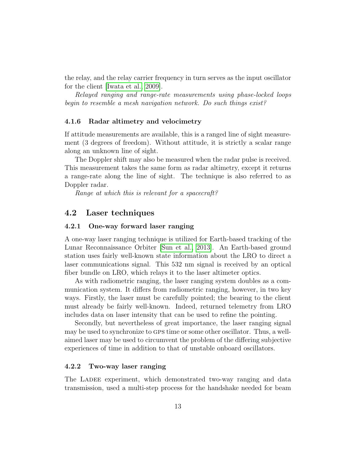the relay, and the relay carrier frequency in turn serves as the input oscillator for the client [\[Iwata et al., 2009\]](#page-17-2).

Relayed ranging and range-rate measurements using phase-locked loops begin to resemble a mesh navigation network. Do such things exist?

#### 4.1.6 Radar altimetry and velocimetry

If attitude measurements are available, this is a ranged line of sight measurement (3 degrees of freedom). Without attitude, it is strictly a scalar range along an unknown line of sight.

The Doppler shift may also be measured when the radar pulse is received. This measurement takes the same form as radar altimetry, except it returns a range-rate along the line of sight. The technique is also referred to as Doppler radar.

Range at which this is relevant for a spacecraft?

# 4.2 Laser techniques

#### 4.2.1 One-way forward laser ranging

A one-way laser ranging technique is utilized for Earth-based tracking of the Lunar Reconnaissance Orbiter [\[Sun et al., 2013\]](#page-17-3). An Earth-based ground station uses fairly well-known state information about the LRO to direct a laser communications signal. This 532 nm signal is received by an optical fiber bundle on LRO, which relays it to the laser altimeter optics.

As with radiometric ranging, the laser ranging system doubles as a communication system. It differs from radiometric ranging, however, in two key ways. Firstly, the laser must be carefully pointed; the bearing to the client must already be fairly well-known. Indeed, returned telemetry from LRO includes data on laser intensity that can be used to refine the pointing.

Secondly, but nevertheless of great importance, the laser ranging signal may be used to synchronize to gps time or some other oscillator. Thus, a wellaimed laser may be used to circumvent the problem of the differing subjective experiences of time in addition to that of unstable onboard oscillators.

#### 4.2.2 Two-way laser ranging

The LADEE experiment, which demonstrated two-way ranging and data transmission, used a multi-step process for the handshake needed for beam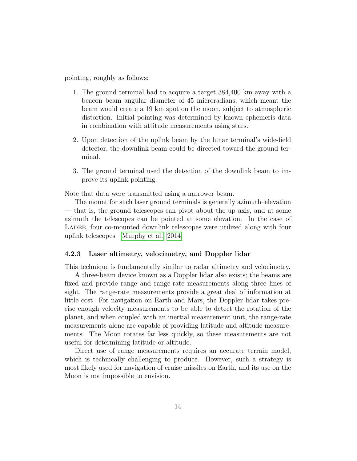pointing, roughly as follows:

- 1. The ground terminal had to acquire a target 384,400 km away with a beacon beam angular diameter of 45 microradians, which meant the beam would create a 19 km spot on the moon, subject to atmospheric distortion. Initial pointing was determined by known ephemeris data in combination with attitude measurements using stars.
- 2. Upon detection of the uplink beam by the lunar terminal's wide-field detector, the downlink beam could be directed toward the ground terminal.
- 3. The ground terminal used the detection of the downlink beam to improve its uplink pointing.

Note that data were transmitted using a narrower beam.

The mount for such laser ground terminals is generally azimuth–elevation — that is, the ground telescopes can pivot about the up axis, and at some azimuth the telescopes can be pointed at some elevation. In the case of LADEE, four co-mounted downlink telescopes were utilized along with four uplink telescopes. [\[Murphy et al., 2014\]](#page-17-4)

#### 4.2.3 Laser altimetry, velocimetry, and Doppler lidar

This technique is fundamentally similar to radar altimetry and velocimetry.

A three-beam device known as a Doppler lidar also exists; the beams are fixed and provide range and range-rate measurements along three lines of sight. The range-rate measurements provide a great deal of information at little cost. For navigation on Earth and Mars, the Doppler lidar takes precise enough velocity measurements to be able to detect the rotation of the planet, and when coupled with an inertial measurement unit, the range-rate measurements alone are capable of providing latitude and altitude measurements. The Moon rotates far less quickly, so these measurements are not useful for determining latitude or altitude.

Direct use of range measurements requires an accurate terrain model, which is technically challenging to produce. However, such a strategy is most likely used for navigation of cruise missiles on Earth, and its use on the Moon is not impossible to envision.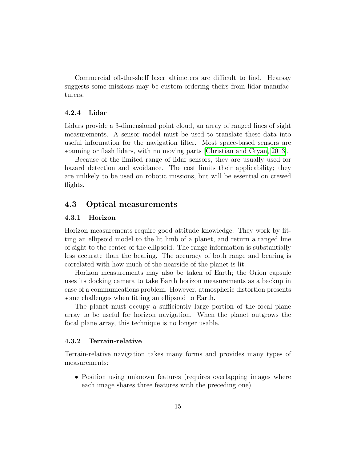Commercial off-the-shelf laser altimeters are difficult to find. Hearsay suggests some missions may be custom-ordering theirs from lidar manufacturers.

#### 4.2.4 Lidar

Lidars provide a 3-dimensional point cloud, an array of ranged lines of sight measurements. A sensor model must be used to translate these data into useful information for the navigation filter. Most space-based sensors are scanning or flash lidars, with no moving parts [\[Christian and Cryan, 2013\]](#page-17-5).

Because of the limited range of lidar sensors, they are usually used for hazard detection and avoidance. The cost limits their applicability; they are unlikely to be used on robotic missions, but will be essential on crewed flights.

### 4.3 Optical measurements

#### 4.3.1 Horizon

Horizon measurements require good attitude knowledge. They work by fitting an ellipsoid model to the lit limb of a planet, and return a ranged line of sight to the center of the ellipsoid. The range information is substantially less accurate than the bearing. The accuracy of both range and bearing is correlated with how much of the nearside of the planet is lit.

Horizon measurements may also be taken of Earth; the Orion capsule uses its docking camera to take Earth horizon measurements as a backup in case of a communications problem. However, atmospheric distortion presents some challenges when fitting an ellipsoid to Earth.

The planet must occupy a sufficiently large portion of the focal plane array to be useful for horizon navigation. When the planet outgrows the focal plane array, this technique is no longer usable.

#### 4.3.2 Terrain-relative

Terrain-relative navigation takes many forms and provides many types of measurements:

• Position using unknown features (requires overlapping images where each image shares three features with the preceding one)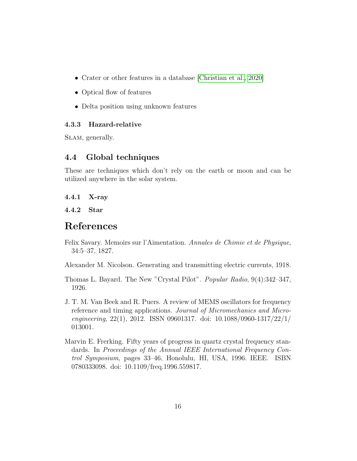- Crater or other features in a database [\[Christian et al., 2020\]](#page-17-6)
- Optical flow of features
- Delta position using unknown features

#### 4.3.3 Hazard-relative

SLAM, generally.

# 4.4 Global techniques

These are techniques which don't rely on the earth or moon and can be utilized anywhere in the solar system.

#### 4.4.1 X-ray

4.4.2 Star

# References

<span id="page-15-0"></span>Felix Savary. Memoirs sur l'Aimentation. Annales de Chimie et de Physique, 34:5–37, 1827.

<span id="page-15-1"></span>Alexander M. Nicolson. Generating and transmitting electric currents, 1918.

- <span id="page-15-2"></span>Thomas L. Bayard. The New "Crystal Pilot". Popular Radio, 9(4):342–347, 1926.
- <span id="page-15-3"></span>J. T. M. Van Beek and R. Puers. A review of MEMS oscillators for frequency reference and timing applications. Journal of Micromechanics and Microengineering, 22(1), 2012. ISSN 09601317. doi: 10.1088/0960-1317/22/1/ 013001.
- <span id="page-15-4"></span>Marvin E. Frerking. Fifty years of progress in quartz crystal frequency standards. In Proceedings of the Annual IEEE International Frequency Control Symposium, pages 33–46, Honolulu, HI, USA, 1996. IEEE. ISBN 0780333098. doi: 10.1109/freq.1996.559817.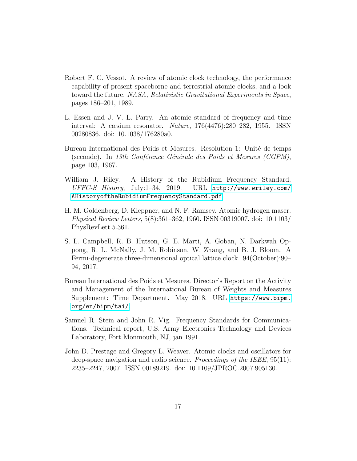- <span id="page-16-0"></span>Robert F. C. Vessot. A review of atomic clock technology, the performance capability of present spaceborne and terrestrial atomic clocks, and a look toward the future. NASA, Relativistic Gravitational Experiments in Space, pages 186–201, 1989.
- <span id="page-16-1"></span>L. Essen and J. V. L. Parry. An atomic standard of frequency and time interval: A cæsium resonator. Nature, 176(4476):280–282, 1955. ISSN 00280836. doi: 10.1038/176280a0.
- <span id="page-16-2"></span>Bureau International des Poids et Mesures. Resolution 1: Unité de temps (seconde). In 13th Conférence Générale des Poids et Mesures (CGPM), page 103, 1967.
- <span id="page-16-3"></span>William J. Riley. A History of the Rubidium Frequency Standard. UFFC-S History, July:1–34, 2019. URL [http://www.wriley.com/](http://www.wriley.com/A History of the Rubidium Frequency Standard.pdf) [AHistoryoftheRubidiumFrequencyStandard.pdf](http://www.wriley.com/A History of the Rubidium Frequency Standard.pdf).
- <span id="page-16-4"></span>H. M. Goldenberg, D. Kleppner, and N. F. Ramsey. Atomic hydrogen maser. Physical Review Letters, 5(8):361–362, 1960. ISSN 00319007. doi: 10.1103/ PhysRevLett.5.361.
- <span id="page-16-5"></span>S. L. Campbell, R. B. Hutson, G. E. Marti, A. Goban, N. Darkwah Oppong, R. L. McNally, J. M. Robinson, W. Zhang, and B. J. Bloom. A Fermi-degenerate three-dimensional optical lattice clock. 94(October):90– 94, 2017.
- <span id="page-16-6"></span>Bureau International des Poids et Mesures. Director's Report on the Activity and Management of the International Bureau of Weights and Measures Supplement: Time Department. May 2018. URL [https://www.bipm.](https://www.bipm.org/en/bipm/tai/) [org/en/bipm/tai/](https://www.bipm.org/en/bipm/tai/).
- <span id="page-16-7"></span>Samuel R. Stein and John R. Vig. Frequency Standards for Communications. Technical report, U.S. Army Electronics Technology and Devices Laboratory, Fort Monmouth, NJ, jan 1991.
- <span id="page-16-8"></span>John D. Prestage and Gregory L. Weaver. Atomic clocks and oscillators for deep-space navigation and radio science. *Proceedings of the IEEE*, 95(11): 2235–2247, 2007. ISSN 00189219. doi: 10.1109/JPROC.2007.905130.